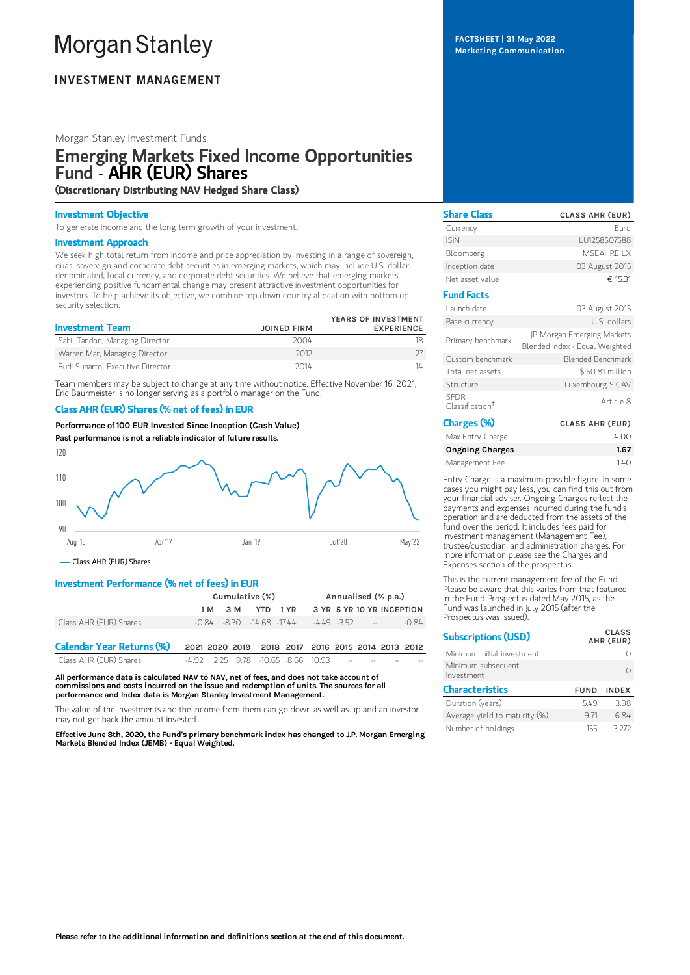# **Morgan Stanley**

# **INVESTMENT MANAGEMENT**

## Morgan Stanley Investment Funds

# Emerging Markets Fixed Income Opportunities Fund - AHR (EUR) Shares

(Discretionary Distributing NAV Hedged Share Class)

#### Investment Objective

To generate income and the long term growth of your investment.

#### Investment Approach

We seek high total return from income and price appreciation by investing in a range of sovereign, quasi-sovereign and corporate debt securities in emerging markets, which may include U.S. dollardenominated, local currency, and corporate debt securities. We believe that emerging markets experiencing positive fundamental change may present attractive investment opportunities for investors. To help achieve its objective, we combine top-down country allocation with bottom-up security selection.

| <b>Investment Team</b>           | <b>JOINED FIRM</b> | YEARS OF INVESTMENT<br><b>EXPERIENCE</b> |
|----------------------------------|--------------------|------------------------------------------|
| Sahil Tandon, Managing Director  | 2004               |                                          |
| Warren Mar, Managing Director    | 2012               |                                          |
| Budi Suharto, Executive Director | 2014               | 14                                       |

Team members may be subject to change at any time without notice. Effective November 16, 2021, Eric Baurmeister is no longer serving as a portfolio manager on the Fund.

## Class AHR (EUR) Shares (% net of fees) in EUR

Performance of100 EUR Invested Since Inception (Cash Value) Past performance is not a reliable indicator of future results.



Class AHR (EUR) Shares

# Investment Performance (% net of fees) in EUR

|                                  | Cumulative (%)                                    |                                |      | Annualised (% p.a.) |  |  |                           |  |         |
|----------------------------------|---------------------------------------------------|--------------------------------|------|---------------------|--|--|---------------------------|--|---------|
|                                  | 1 M                                               | 3 M                            | YTD. | 1 YR                |  |  | 3 YR 5 YR 10 YR INCEPTION |  |         |
| Class AHR (EUR) Shares           |                                                   | $-0.84 - 8.30 - 14.68 - 17.44$ |      |                     |  |  | $-449 - 352$ -            |  | $-0.84$ |
| <b>Calendar Year Returns (%)</b> | 2021 2020 2019 2018 2017 2016 2015 2014 2013 2012 |                                |      |                     |  |  |                           |  |         |
| Class AHR (EUR) Shares           | -4.92 2.25 9.78 -10.65 8.66 10.93                 |                                |      |                     |  |  |                           |  |         |

All performance data is calculated NAV to NAV, net of fees, and does not take account of commissions and costs incurred on the issue and redemption of units. The sources for all performance and Index data is Morgan Stanley Investment Management.

The value of the investments and the income from them can go down as well as up and an investor may not get back the amount invested.

Effective June 8th, 2020, the Fund's primary benchmark index has changed to J.P. Morgan Emerging Markets Blended Index (JEMB) - Equal Weighted.

FACTSHEET | 31 May 2022 Marketing Communication

Share Class CLASS AHR (EUR) Currency Euro ISIN LU1258507588 Bloomberg MSEAHRE LX Inception date 03 August 2015 Net asset value  $\epsilon$  15.31 Fund Facts Launch date 03 August 2015 Base currency and the U.S. dollars Primary benchmark JP Morgan Emerging Markets Blended Index - Equal Weighted Custom benchmark Blended Benchmark Total net assets  $$50.81$  million Structure Luxembourg SICAV SFDR Classification †Article 8 Charges (%) CLASS AHR (EUR)

| andi Aca (70)          | <b>ULAJJ AIIR (LUR)</b> |
|------------------------|-------------------------|
| Max Entry Charge       | 4.00                    |
| <b>Ongoing Charges</b> | 1.67                    |
| Management Fee         | 140                     |

Entry Charge is a maximum possible figure. In some cases you might pay less, you can find this out from your financial adviser. Ongoing Charges reflect the payments and expenses incurred during the fund's operation and are deducted from the assets of the fund over the period. It includes fees paid for investment management (Management Fee), trustee/custodian, and administration charges. For more information please see the Charges and Expenses section of the prospectus.

This is the current management fee of the Fund. Please be aware that this varies from that featured in the Fund Prospectus dated May 2015, as the Fund was launched in July 2015 (after the Prospectus was issued).

| <b>Subscriptions (USD)</b>       |             | <b>CLASS</b><br>AHR (EUR) |
|----------------------------------|-------------|---------------------------|
| Minimum initial investment       |             |                           |
| Minimum subsequent<br>Investment |             |                           |
| <b>Characteristics</b>           | <b>FUND</b> | <b>INDEX</b>              |
| Duration (years)                 | 549         | 3.98                      |
| Average yield to maturity (%)    | 971         | 684                       |
| Number of holdings               | 155         | 3.272                     |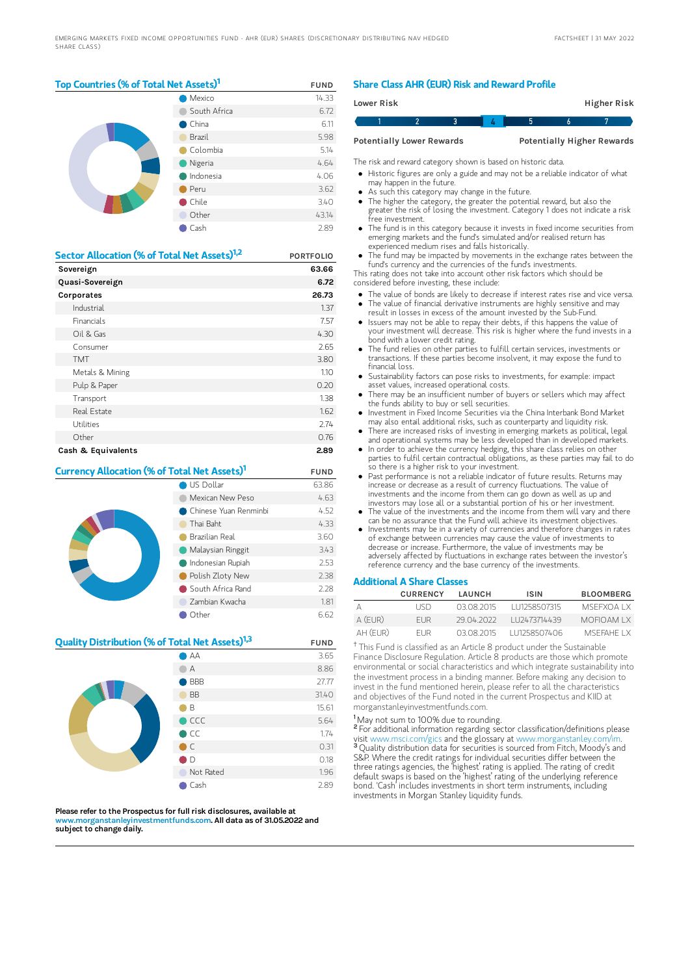## Top Countries (% of Total Net Assets)<sup>1</sup> FUND

|  | Mexico          | 14.33 |
|--|-----------------|-------|
|  | South Africa    | 6.72  |
|  | $\bullet$ China | 6.11  |
|  | Brazil          | 5.98  |
|  | Colombia        | 5.14  |
|  | Nigeria         | 4.64  |
|  | Indonesia       | 4.06  |
|  | Peru            | 3.62  |
|  | Chile           | 3.40  |
|  | Other           | 43.14 |
|  | Cash            | 2.89  |

| Sector Allocation (% of Total Net Assets) <sup>1,2</sup> | <b>PORTFOLIO</b> |
|----------------------------------------------------------|------------------|
| Sovereign                                                | 63.66            |
| Quasi-Sovereign                                          | 6.72             |
| Corporates                                               | 26.73            |
| Industrial                                               | 1.37             |
| <b>Financials</b>                                        | 7.57             |
| Oil & Gas                                                | 4.30             |
| Consumer                                                 | 2.65             |
| <b>TMT</b>                                               | 3.80             |
| Metals & Mining                                          | 1.10             |
| Pulp & Paper                                             | 0.20             |
| Transport                                                | 1.38             |
| Real Estate                                              | 1.62             |
| Utilities                                                | 2.74             |
| Other                                                    | 0.76             |
| Cash & Equivalents                                       | 2.89             |

## **Currency Allocation (% of Total Net Assets)<sup>1</sup> FUND**

|  | US Dollar             | 63.86 |
|--|-----------------------|-------|
|  | Mexican New Peso      | 4.63  |
|  | Chinese Yuan Renminbi | 4.52  |
|  | Thai Baht             | 4.33  |
|  | Brazilian Real        | 3.60  |
|  | Malaysian Ringgit     | 3.43  |
|  | Indonesian Rupiah     | 2.53  |
|  | Polish Zloty New      | 2.38  |
|  | South Africa Rand     | 2.28  |
|  | Zambian Kwacha        | 1.81  |
|  | Other                 | 6.62  |

## **Quality Distribution (% of Total Net Assets)<sup>1,3</sup> FUND**



Please refer to the Prospectus for full risk disclosures, available at w.morganstanleyinvestmentfunds.co<mark>m. All data as of 31.05.2022 and</mark> subject to change daily.

#### Share Class AHR (EUR) Risk and Reward Profile

| Lower Risk |                                  |  |  | Higher Risk                       |  |
|------------|----------------------------------|--|--|-----------------------------------|--|
|            |                                  |  |  |                                   |  |
|            | <b>Potentially Lower Rewards</b> |  |  | <b>Potentially Higher Rewards</b> |  |

The risk and reward category shown is based on historic data.

Historic figures are only a guide and may not be a reliable indicator of what may happen in the future.

- As such this category may change in the future.
- The higher the category, the greater the potential reward, but also the greater the risk of losing the investment. Category 1 does not indicate a risk free investment.
- The fund is in this category because it invests in fixed income securities from emerging markets and the fund's simulated and/or realised return has experienced medium rises and falls historically.
- The fund may be impacted by movements in the exchange rates between the fund's currency and the currencies of the fund's investments.

This rating does not take into account other risk factors which should be considered before investing, these include:

- The value of bonds are likely to decrease if interest rates rise and vice versa.
- The value of financial derivative instruments are highly sensitive and may result in losses in excess of the amount invested by the Sub-Fund. Issuers may not be able to repay their debts, if this happens the value of
- your investment will decrease. This risk is higher where the fund invests in a bond with a lower credit rating. The fund relies on other parties to fulfill certain services, investments or
- transactions. If these parties become insolvent, it may expose the fund to financial loss.
- Sustainability factors can pose risks to investments, for example: impact asset values, increased operational costs.
- There may be an insufficient number of buyers or sellers which may affect the funds ability to buy or sell securities.
- Investment in Fixed Income Securities via the China Interbank Bond Market may also entail additional risks, such as counterparty and liquidity risk.  $\bullet$
- There are increased risks of investing in emerging markets as political, legal and operational systems may be less developed than in developed markets. In order to achieve the currency hedging, this share class relies on other
- parties to fulfil certain contractual obligations, as these parties may fail to do so there is a higher risk to your investment.
- Past performance is not a reliable indicator of future results. Returns may increase or decrease as a result of currency fluctuations. The value of investments and the income from them can go down as well as up and investors may lose all or a substantial portion of his or her investment.
- The value of the investments and the income from them will vary and there can be no assurance that the Fund will achieve its investment objectives.
- Investments may be in a variety of currencies and therefore changes in rates of exchange between currencies may cause the value of investments to decrease or increase. Furthermore, the value of investments may be adversely affected by fluctuations in exchange rates between the investor's reference currency and the base currency of the investments.

#### Additional A Share Classes

|           | <b>CURRENCY</b> | LAUNCH     | <b>ISIN</b>  | <b>BLOOMBERG</b> |
|-----------|-----------------|------------|--------------|------------------|
|           | <b>IISD</b>     | 03.08.2015 | 111258507315 | MSEEXOA I X      |
| $A$ (FUR) | FUR.            | 29 04 2022 | LU2473714439 | MOFIOAM I X      |
| AH (FUR)  | FUR.            | 03.08.2015 | 111258507406 | MSEFAHE I X      |

<sup>†</sup> This Fund is classified as an Article 8 product under the Sustainable Finance Disclosure Regulation. Article 8 products are those which promote environmental or social characteristics and which integrate sustainability into the investment process in a binding manner. Before making any decision to invest in the fund mentioned herein, please refer to all the characteristics and objectives of the Fund noted in the current Prospectus and KIID at morganstanleyinvestmentfunds.com.

<sup>1</sup>May not sum to 100% due to rounding.

For additional information regarding sector classification/definitions please visit www.msci.com/gics and the glossary at www.morganstanley.com/im. <sup>3</sup> Quality distribution data for securities is sourced from Fitch, Moody's and S&P. Where the credit ratings for individual securities differ between the three ratings agencies, the 'highest' rating is applied. The rating of credit default swaps is based on the 'highest' rating of the underlying reference bond. 'Cash' includes investments in short term instruments, including investments in Morgan Stanley liquidity funds. 2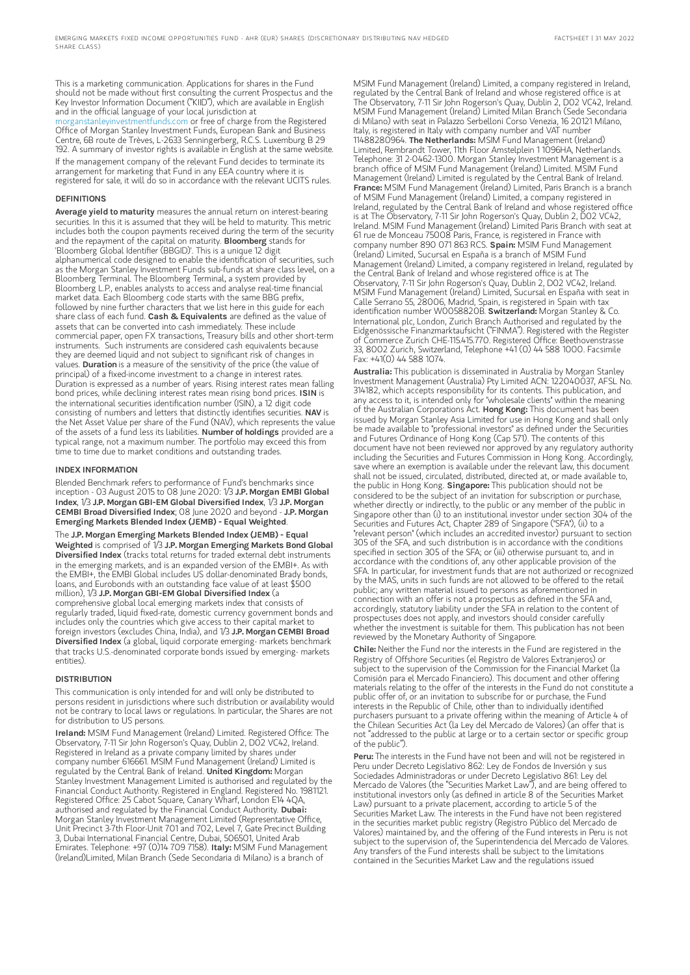This is a marketing communication. Applications for shares in the Fund should not be made without first consulting the current Prospectus and the Key Investor Information Document ("KIID"), which are available in English and in the official language of your local jurisdiction at [morganstanleyinvestmentfunds.com](https://www.morganstanley.com/im/msinvf/index.html) or free of charge from the Registered Office of Morgan Stanley Investment Funds, European Bank and Business Centre, 6B route de Trèves, L-2633 Senningerberg, R.C.S. Luxemburg B 29 192. A summary of investor rights is available in English at the same website. If the management company of the relevant Fund decides to terminate its arrangement for marketing that Fund in any EEA country where it is registered for sale, it will do so in accordance with the relevant UCITS rules.

#### DEFINITIONS

Average yield to maturity measures the annual return on interest-bearing securities. In this it is assumed that they will be held to maturity. This metric includes both the coupon payments received during the term of the security and the repayment of the capital on maturity. **Bloomberg** stands for 'Bloomberg Global Identifier (BBGID)'. This is a unique 12 digit alphanumerical code designed to enable the identification of securities, such as the Morgan Stanley Investment Funds sub-funds at share class level, on a Bloomberg Terminal. The Bloomberg Terminal, a system provided by Bloomberg L.P., enables analysts to access and analyse real-time financial market data. Each Bloomberg code starts with the same BBG prefix, followed by nine further characters that we list here in this guide for each share class of each fund. Cash & Equivalents are defined as the value of assets that can be converted into cash immediately. These include commercial paper, open FX transactions, Treasury bills and other short-term instruments. Such instruments are considered cash equivalents because they are deemed liquid and not subject to significant risk of changes in values. Duration is a measure of the sensitivity of the price (the value of principal) of a fixed-income investment to a change in interest rates. Duration is expressed as a number of years. Rising interest rates mean falling<br>bond prices, while declining interest rates mean rising bond prices. **ISIN** is the international securities identification number (ISIN), a 12 digit code consisting of numbers and letters that distinctly identifies securities. NAV is the Net Asset Value per share of the Fund (NAV), which represents the value of the assets of a fund less its liabilities. Number of holdings provided are a typical range, not a maximum number. The portfolio may exceed this from time to time due to market conditions and outstanding trades.

#### INDEX INFORMATION

Blended Benchmark refers to performance of Fund's benchmarks since inception - 03 August 2015 to 08 June 2020: 1/3 J.P. Morgan EMBI Global Index, 1/3 J.P. Morgan GBI-EM Global Diversified Index, 1/3 J.P. Morgan CEMBI Broad Diversified Index; 08 June 2020 and beyond - J.P. Morgan Emerging Markets Blended Index (JEMB) - Equal Weighted. The J.P. Morgan Emerging Markets Blended Index (JEMB) - Equal

Weighted is comprised of 1/3 J.P. Morgan Emerging Markets Bond Global Diversified Index (tracks total returns for traded external debt instruments in the emerging markets, and is an expanded version of the EMBI+. As with the EMBI+, the EMBI Global includes US dollar-denominated Brady bonds, loans, and Eurobonds with an outstanding face value of at least \$500 million), 1/3 J.P. Morgan GBI-EM Global Diversified Index (a comprehensive global local emerging markets index that consists of regularly traded, liquid fixed-rate, domestic currency government bonds and includes only the countries which give access to their capital market to foreign investors (excludes China, India), and 1/3 J.P. Morgan CEMBI Broad Diversified Index (a global, liquid corporate emerging- markets benchmark that tracks U.S.-denominated corporate bonds issued by emerging- markets entities).

#### **DISTRIBUTION**

This communication is only intended for and will only be distributed to persons resident in jurisdictions where such distribution or availability would not be contrary to local laws or regulations. In particular, the Shares are not for distribution to US persons.

Ireland: MSIM Fund Management (Ireland) Limited. Registered Office: The Observatory, 7-11 Sir John Rogerson's Quay, Dublin 2, D02 VC42, Ireland. Registered in Ireland as a private company limited by shares under company number 616661. MSIM Fund Management (Ireland) Limited is regulated by the Central Bank of Ireland. United Kingdom: Morgan Stanley Investment Management Limited is authorised and regulated by the Financial Conduct Authority. Registered in England. Registered No. 1981121. Registered Office: 25 Cabot Square, Canary Wharf, London E14 4QA,<br>authorised and regulated by the Financial Conduct Authority. **Dubai:** Morgan Stanley Investment Management Limited (Representative Office, Unit Precinct 3-7th Floor-Unit 701 and 702, Level 7, Gate Precinct Building 3, Dubai International Financial Centre, Dubai, 506501, United Arab Emirates. Telephone: +97 (0)14 709 7158). Italy: MSIM Fund Management (Ireland)Limited, Milan Branch (Sede Secondaria di Milano) is a branch of

MSIM Fund Management (Ireland) Limited, a company registered in Ireland, regulated by the Central Bank of Ireland and whose registered office is at The Observatory, 7-11 Sir John Rogerson's Quay, Dublin 2, D02 VC42, Ireland. MSIM Fund Management (Ireland) Limited Milan Branch (Sede Secondaria di Milano) with seat in Palazzo Serbelloni Corso Venezia, 16 20121 Milano, Italy, is registered in Italy with company number and VAT number 11488280964. The Netherlands: MSIM Fund Management (Ireland) Limited, Rembrandt Tower, 11th Floor Amstelplein 1 1096HA, Netherlands. Telephone: 31 2-0462-1300. Morgan Stanley Investment Management is a branch office of MSIM Fund Management (Ireland) Limited. MSIM Fund Management (Ireland) Limited is regulated by the Central Bank of Ireland. France: MSIM Fund Management (Ireland) Limited, Paris Branch is a branch of MSIM Fund Management (Ireland) Limited, a company registered in Ireland, regulated by the Central Bank of Ireland and whose registered office is at The Observatory, 7-11 Sir John Rogerson's Quay, Dublin 2, D02 VC42, Ireland. MSIM Fund Management (Ireland) Limited Paris Branch with seat at 61 rue de Monceau 75008 Paris, France, is registered in France with<br>company number 890 071 863 RCS. **Spain:** MSIM Fund Management (Ireland) Limited, Sucursal en España is a branch of MSIM Fund Management (Ireland) Limited, a company registered in Ireland, regulated by the Central Bank of Ireland and whose registered office is at The Observatory, 7-11 Sir John Rogerson's Quay, Dublin 2, D02 VC42, Ireland. MSIM Fund Management (Ireland) Limited, Sucursal en España with seat in Calle Serrano 55, 28006, Madrid, Spain, is registered in Spain with tax identification number W0058820B. Switzerland: Morgan Stanley & Co. International plc, London, Zurich Branch Authorised and regulated by the Eidgenössische Finanzmarktaufsicht ("FINMA"). Registered with the Register of Commerce Zurich CHE-115.415.770. Registered Office: Beethovenstrasse 33, 8002 Zurich, Switzerland, Telephone +41 (0) 44 588 1000. Facsimile Fax: +41(0) 44 588 1074.

Australia: This publication is disseminated in Australia by Morgan Stanley Investment Management (Australia) Pty Limited ACN: 122040037, AFSL No. 314182, which accepts responsibility for its contents. This publication, and any access to it, is intended only for "wholesale clients" within the meaning of the Australian Corporations Act. Hong Kong: This document has been issued by Morgan Stanley Asia Limited for use in Hong Kong and shall only be made available to "professional investors" as defined under the Securities and Futures Ordinance of Hong Kong (Cap 571). The contents of this document have not been reviewed nor approved by any regulatory authority including the Securities and Futures Commission in Hong Kong. Accordingly, save where an exemption is available under the relevant law, this document shall not be issued, circulated, distributed, directed at, or made available to, the public in Hong Kong. Singapore: This publication should not be considered to be the subject of an invitation for subscription or purchase, whether directly or indirectly, to the public or any member of the public in Singapore other than (i) to an institutional investor under section 304 of the Securities and Futures Act, Chapter 289 of Singapore ("SFA"), (ii) to a "relevant person" (which includes an accredited investor) pursuant to section 305 of the SFA, and such distribution is in accordance with the conditions specified in section 305 of the SFA; or (iii) otherwise pursuant to, and in accordance with the conditions of, any other applicable provision of the SFA. In particular, for investment funds that are not authorized or recognized by the MAS, units in such funds are not allowed to be offered to the retail public; any written material issued to persons as aforementioned in connection with an offer is not a prospectus as defined in the SFA and, accordingly, statutory liability under the SFA in relation to the content of prospectuses does not apply, and investors should consider carefully whether the investment is suitable for them. This publication has not been reviewed by the Monetary Authority of Singapore.

Chile: Neither the Fund nor the interests in the Fund are registered in the Registry of Offshore Securities (el Registro de Valores Extranjeros) or subject to the supervision of the Commission for the Financial Market (la Comisión para el Mercado Financiero). This document and other offering materials relating to the offer of the interests in the Fund do not constitute a public offer of, or an invitation to subscribe for or purchase, the Fund interests in the Republic of Chile, other than to individually identified purchasers pursuant to a private offering within the meaning of Article 4 of the Chilean Securities Act (la Ley del Mercado de Valores) (an offer that is not "addressed to the public at large or to a certain sector or specific group of the public").

Peru: The interests in the Fund have not been and will not be registered in Peru under Decreto Legislativo 862: Ley de Fondos de Inversión y sus Sociedades Administradoras or under Decreto Legislativo 861: Ley del Mercado de Valores (the "Securities Market Law"), and are being offered to institutional investors only (as defined in article 8 of the Securities Market Law) pursuant to a private placement, according to article 5 of the Securities Market Law. The interests in the Fund have not been registered in the securities market public registry (Registro Público del Mercado de Valores) maintained by, and the offering of the Fund interests in Peru is not subject to the supervision of, the Superintendencia del Mercado de Valores. Any transfers of the Fund interests shall be subject to the limitations contained in the Securities Market Law and the regulations issued